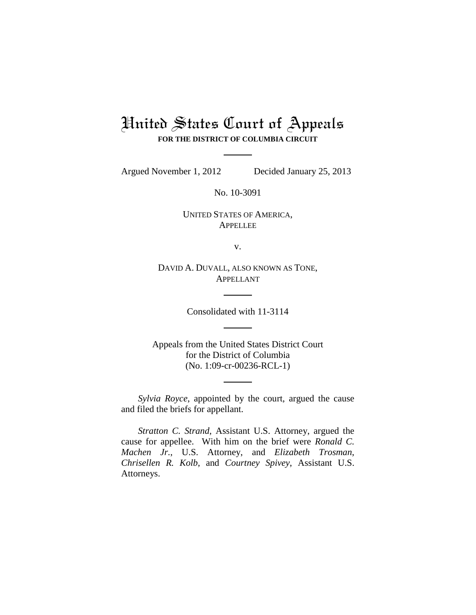## United States Court of Appeals **FOR THE DISTRICT OF COLUMBIA CIRCUIT**

Argued November 1, 2012 Decided January 25, 2013

No. 10-3091

UNITED STATES OF AMERICA, APPELLEE

v.

DAVID A. DUVALL, ALSO KNOWN AS TONE, APPELLANT

Consolidated with 11-3114

Appeals from the United States District Court for the District of Columbia (No. 1:09-cr-00236-RCL-1)

*Sylvia Royce*, appointed by the court, argued the cause and filed the briefs for appellant.

*Stratton C. Strand*, Assistant U.S. Attorney, argued the cause for appellee. With him on the brief were *Ronald C. Machen Jr.*, U.S. Attorney, and *Elizabeth Trosman*, *Chrisellen R. Kolb*, and *Courtney Spivey*, Assistant U.S. Attorneys.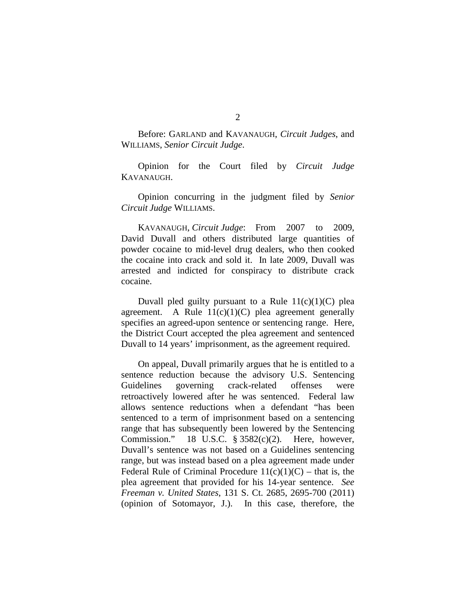Before: GARLAND and KAVANAUGH, *Circuit Judges*, and WILLIAMS, *Senior Circuit Judge*.

Opinion for the Court filed by *Circuit Judge* KAVANAUGH.

Opinion concurring in the judgment filed by *Senior Circuit Judge* WILLIAMS.

KAVANAUGH, *Circuit Judge*: From 2007 to 2009, David Duvall and others distributed large quantities of powder cocaine to mid-level drug dealers, who then cooked the cocaine into crack and sold it. In late 2009, Duvall was arrested and indicted for conspiracy to distribute crack cocaine.

Duvall pled guilty pursuant to a Rule  $11(c)(1)(C)$  plea agreement. A Rule  $11(c)(1)(C)$  plea agreement generally specifies an agreed-upon sentence or sentencing range. Here, the District Court accepted the plea agreement and sentenced Duvall to 14 years' imprisonment, as the agreement required.

On appeal, Duvall primarily argues that he is entitled to a sentence reduction because the advisory U.S. Sentencing Guidelines governing crack-related offenses were retroactively lowered after he was sentenced. Federal law allows sentence reductions when a defendant "has been sentenced to a term of imprisonment based on a sentencing range that has subsequently been lowered by the Sentencing Commission." 18 U.S.C. § 3582(c)(2). Here, however, Duvall's sentence was not based on a Guidelines sentencing range, but was instead based on a plea agreement made under Federal Rule of Criminal Procedure  $11(c)(1)(C)$  – that is, the plea agreement that provided for his 14-year sentence. *See Freeman v. United States*, 131 S. Ct. 2685, 2695-700 (2011) (opinion of Sotomayor, J.). In this case, therefore, the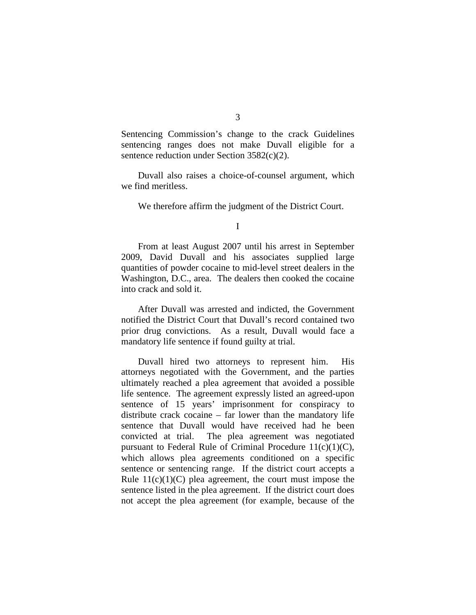Sentencing Commission's change to the crack Guidelines sentencing ranges does not make Duvall eligible for a sentence reduction under Section 3582(c)(2).

Duvall also raises a choice-of-counsel argument, which we find meritless.

We therefore affirm the judgment of the District Court.

From at least August 2007 until his arrest in September 2009, David Duvall and his associates supplied large quantities of powder cocaine to mid-level street dealers in the Washington, D.C., area. The dealers then cooked the cocaine into crack and sold it.

After Duvall was arrested and indicted, the Government notified the District Court that Duvall's record contained two prior drug convictions. As a result, Duvall would face a mandatory life sentence if found guilty at trial.

Duvall hired two attorneys to represent him. His attorneys negotiated with the Government, and the parties ultimately reached a plea agreement that avoided a possible life sentence. The agreement expressly listed an agreed-upon sentence of 15 years' imprisonment for conspiracy to distribute crack cocaine – far lower than the mandatory life sentence that Duvall would have received had he been convicted at trial. The plea agreement was negotiated pursuant to Federal Rule of Criminal Procedure  $11(c)(1)(C)$ , which allows plea agreements conditioned on a specific sentence or sentencing range. If the district court accepts a Rule  $11(c)(1)(C)$  plea agreement, the court must impose the sentence listed in the plea agreement. If the district court does not accept the plea agreement (for example, because of the

I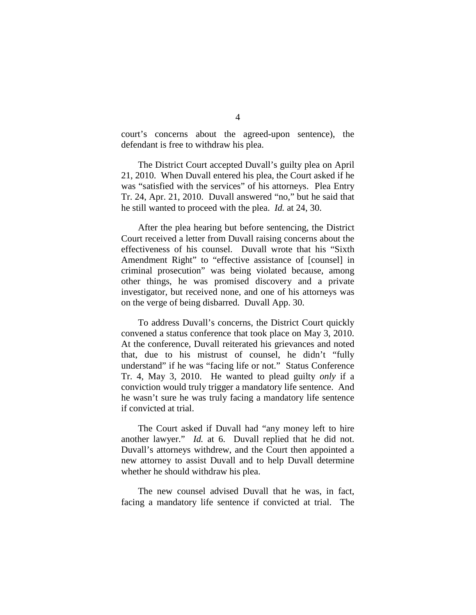court's concerns about the agreed-upon sentence), the defendant is free to withdraw his plea.

The District Court accepted Duvall's guilty plea on April 21, 2010. When Duvall entered his plea, the Court asked if he was "satisfied with the services" of his attorneys. Plea Entry Tr. 24, Apr. 21, 2010. Duvall answered "no," but he said that he still wanted to proceed with the plea. *Id.* at 24, 30.

After the plea hearing but before sentencing, the District Court received a letter from Duvall raising concerns about the effectiveness of his counsel. Duvall wrote that his "Sixth Amendment Right" to "effective assistance of [counsel] in criminal prosecution" was being violated because, among other things, he was promised discovery and a private investigator, but received none, and one of his attorneys was on the verge of being disbarred. Duvall App. 30.

To address Duvall's concerns, the District Court quickly convened a status conference that took place on May 3, 2010. At the conference, Duvall reiterated his grievances and noted that, due to his mistrust of counsel, he didn't "fully understand" if he was "facing life or not." Status Conference Tr. 4, May 3, 2010.He wanted to plead guilty *only* if a conviction would truly trigger a mandatory life sentence. And he wasn't sure he was truly facing a mandatory life sentence if convicted at trial.

The Court asked if Duvall had "any money left to hire another lawyer." *Id.* at 6. Duvall replied that he did not. Duvall's attorneys withdrew, and the Court then appointed a new attorney to assist Duvall and to help Duvall determine whether he should withdraw his plea.

The new counsel advised Duvall that he was, in fact, facing a mandatory life sentence if convicted at trial. The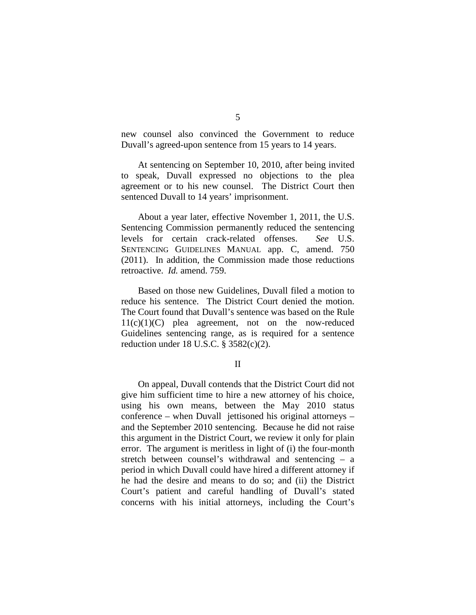new counsel also convinced the Government to reduce Duvall's agreed-upon sentence from 15 years to 14 years.

At sentencing on September 10, 2010, after being invited to speak, Duvall expressed no objections to the plea agreement or to his new counsel. The District Court then sentenced Duvall to 14 years' imprisonment.

About a year later, effective November 1, 2011, the U.S. Sentencing Commission permanently reduced the sentencing levels for certain crack-related offenses. *See* U.S. SENTENCING GUIDELINES MANUAL app. C, amend. 750 (2011). In addition, the Commission made those reductions retroactive. *Id.* amend. 759.

Based on those new Guidelines, Duvall filed a motion to reduce his sentence. The District Court denied the motion. The Court found that Duvall's sentence was based on the Rule  $11(c)(1)(C)$  plea agreement, not on the now-reduced Guidelines sentencing range, as is required for a sentence reduction under 18 U.S.C. § 3582(c)(2).

II

On appeal, Duvall contends that the District Court did not give him sufficient time to hire a new attorney of his choice, using his own means, between the May 2010 status conference – when Duvall jettisoned his original attorneys – and the September 2010 sentencing. Because he did not raise this argument in the District Court, we review it only for plain error. The argument is meritless in light of (i) the four-month stretch between counsel's withdrawal and sentencing – a period in which Duvall could have hired a different attorney if he had the desire and means to do so; and (ii) the District Court's patient and careful handling of Duvall's stated concerns with his initial attorneys, including the Court's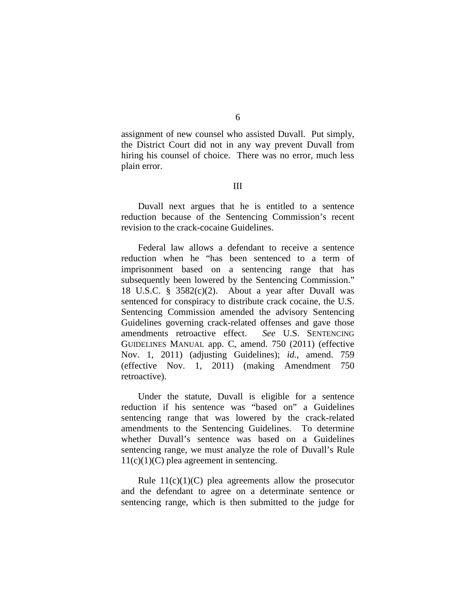assignment of new counsel who assisted Duvall. Put simply, the District Court did not in any way prevent Duvall from hiring his counsel of choice. There was no error, much less plain error.

## III

Duvall next argues that he is entitled to a sentence reduction because of the Sentencing Commission's recent revision to the crack-cocaine Guidelines.

Federal law allows a defendant to receive a sentence reduction when he "has been sentenced to a term of imprisonment based on a sentencing range that has subsequently been lowered by the Sentencing Commission." 18 U.S.C.  $\S$  3582(c)(2). About a year after Duvall was sentenced for conspiracy to distribute crack cocaine, the U.S. Sentencing Commission amended the advisory Sentencing Guidelines governing crack-related offenses and gave those amendments retroactive effect. *See* U.S. SENTENCING GUIDELINES MANUAL app. C, amend. 750 (2011) (effective Nov. 1, 2011) (adjusting Guidelines); *id.*, amend. 759 (effective Nov. 1, 2011) (making Amendment 750 retroactive).

Under the statute, Duvall is eligible for a sentence reduction if his sentence was "based on" a Guidelines sentencing range that was lowered by the crack-related amendments to the Sentencing Guidelines. To determine whether Duvall's sentence was based on a Guidelines sentencing range, we must analyze the role of Duvall's Rule  $11(c)(1)(C)$  plea agreement in sentencing.

Rule  $11(c)(1)(C)$  plea agreements allow the prosecutor and the defendant to agree on a determinate sentence or sentencing range, which is then submitted to the judge for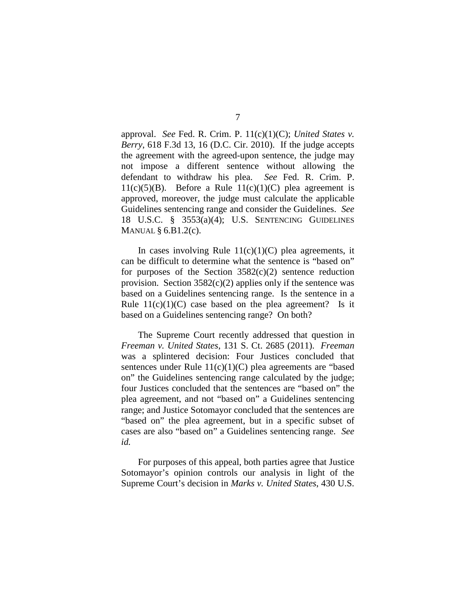approval. *See* Fed. R. Crim. P. 11(c)(1)(C); *United States v. Berry*, 618 F.3d 13, 16 (D.C. Cir. 2010).If the judge accepts the agreement with the agreed-upon sentence, the judge may not impose a different sentence without allowing the defendant to withdraw his plea. *See* Fed. R. Crim. P. 11(c)(5)(B). Before a Rule 11(c)(1)(C) plea agreement is approved, moreover, the judge must calculate the applicable Guidelines sentencing range and consider the Guidelines. *See*  18 U.S.C. § 3553(a)(4); U.S. SENTENCING GUIDELINES MANUAL § 6.B1.2(c).

In cases involving Rule  $11(c)(1)(C)$  plea agreements, it can be difficult to determine what the sentence is "based on" for purposes of the Section  $3582(c)(2)$  sentence reduction provision. Section  $3582(c)(2)$  applies only if the sentence was based on a Guidelines sentencing range. Is the sentence in a Rule  $11(c)(1)(C)$  case based on the plea agreement? Is it based on a Guidelines sentencing range? On both?

The Supreme Court recently addressed that question in *Freeman v. United States*, 131 S. Ct. 2685 (2011). *Freeman* was a splintered decision: Four Justices concluded that sentences under Rule 11(c)(1)(C) plea agreements are "based on" the Guidelines sentencing range calculated by the judge; four Justices concluded that the sentences are "based on" the plea agreement, and not "based on" a Guidelines sentencing range; and Justice Sotomayor concluded that the sentences are "based on" the plea agreement, but in a specific subset of cases are also "based on" a Guidelines sentencing range. *See id.*

For purposes of this appeal, both parties agree that Justice Sotomayor's opinion controls our analysis in light of the Supreme Court's decision in *Marks v. United States*, 430 U.S.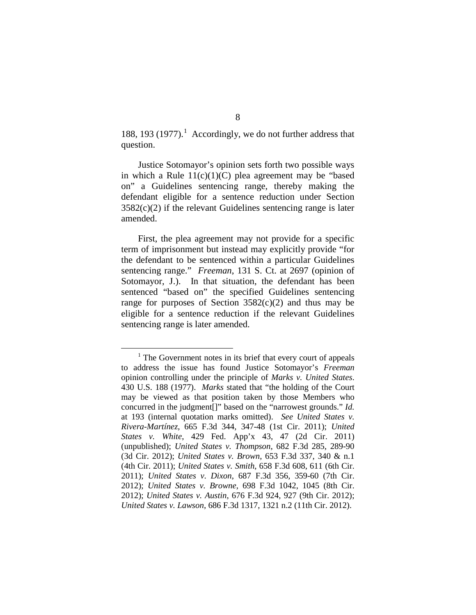188, 193 (1977). [1](#page-7-0) Accordingly, we do not further address that question.

Justice Sotomayor's opinion sets forth two possible ways in which a Rule  $11(c)(1)(C)$  plea agreement may be "based" on" a Guidelines sentencing range, thereby making the defendant eligible for a sentence reduction under Section  $3582(c)(2)$  if the relevant Guidelines sentencing range is later amended.

First, the plea agreement may not provide for a specific term of imprisonment but instead may explicitly provide "for the defendant to be sentenced within a particular Guidelines sentencing range." *Freeman*, 131 S. Ct. at 2697 (opinion of Sotomayor, J.). In that situation, the defendant has been sentenced "based on" the specified Guidelines sentencing range for purposes of Section  $3582(c)(2)$  and thus may be eligible for a sentence reduction if the relevant Guidelines sentencing range is later amended.

<span id="page-7-0"></span> $<sup>1</sup>$  The Government notes in its brief that every court of appeals</sup> to address the issue has found Justice Sotomayor's *Freeman*  opinion controlling under the principle of *Marks v. United States*. 430 U.S. 188 (1977). *Marks* stated that "the holding of the Court may be viewed as that position taken by those Members who concurred in the judgment[]" based on the "narrowest grounds." *Id.* at 193 (internal quotation marks omitted). *See United States v. Rivera-Martínez*, 665 F.3d 344, 347-48 (1st Cir. 2011); *United States v. White*, 429 Fed. App'x 43, 47 (2d Cir. 2011) (unpublished); *United States v. Thompson*, 682 F.3d 285, 289-90 (3d Cir. 2012); *United States v. Brown*, 653 F.3d 337, 340 & n.1 (4th Cir. 2011); *United States v. Smith*, 658 F.3d 608, 611 (6th Cir. 2011); *United States v. Dixon*, 687 F.3d 356, 359-60 (7th Cir. 2012); *United States v. Browne*, 698 F.3d 1042, 1045 (8th Cir. 2012); *United States v. Austin*, 676 F.3d 924, 927 (9th Cir. 2012); *United States v. Lawson*, 686 F.3d 1317, 1321 n.2 (11th Cir. 2012).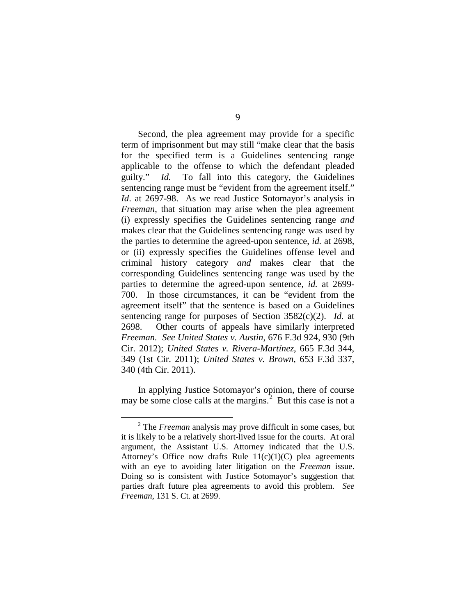Second, the plea agreement may provide for a specific term of imprisonment but may still "make clear that the basis for the specified term is a Guidelines sentencing range applicable to the offense to which the defendant pleaded guilty." *Id.* To fall into this category, the Guidelines sentencing range must be "evident from the agreement itself." *Id*. at 2697-98. As we read Justice Sotomayor's analysis in *Freeman*, that situation may arise when the plea agreement (i) expressly specifies the Guidelines sentencing range *and* makes clear that the Guidelines sentencing range was used by the parties to determine the agreed-upon sentence, *id.* at 2698, or (ii) expressly specifies the Guidelines offense level and criminal history category *and* makes clear that the corresponding Guidelines sentencing range was used by the parties to determine the agreed-upon sentence, *id.* at 2699- 700. In those circumstances, it can be "evident from the agreement itself" that the sentence is based on a Guidelines sentencing range for purposes of Section 3582(c)(2). *Id.* at 2698. Other courts of appeals have similarly interpreted *Freeman. See United States v. Austin*, 676 F.3d 924, 930 (9th Cir. 2012); *United States v. Rivera-Martínez*, 665 F.3d 344, 349 (1st Cir. 2011); *United States v. Brown*, 653 F.3d 337, 340 (4th Cir. 2011).

In applying Justice Sotomayor's opinion, there of course may be some close calls at the margins. $^2$  $^2$  But this case is not a

<span id="page-8-0"></span> <sup>2</sup> The *Freeman* analysis may prove difficult in some cases, but it is likely to be a relatively short-lived issue for the courts. At oral argument, the Assistant U.S. Attorney indicated that the U.S. Attorney's Office now drafts Rule  $11(c)(1)(C)$  plea agreements with an eye to avoiding later litigation on the *Freeman* issue. Doing so is consistent with Justice Sotomayor's suggestion that parties draft future plea agreements to avoid this problem. *See Freeman*, 131 S. Ct. at 2699.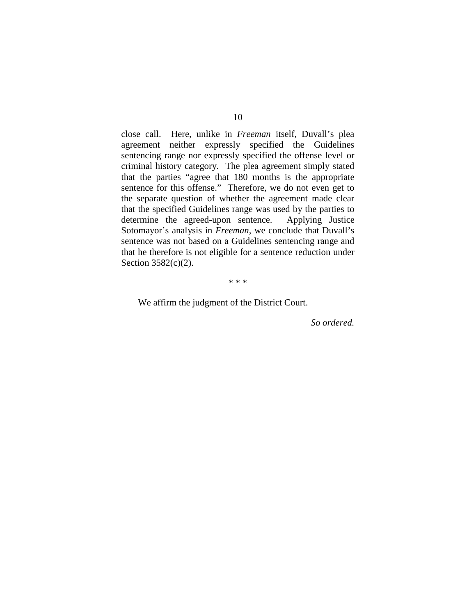close call. Here, unlike in *Freeman* itself, Duvall's plea agreement neither expressly specified the Guidelines sentencing range nor expressly specified the offense level or criminal history category. The plea agreement simply stated that the parties "agree that 180 months is the appropriate sentence for this offense." Therefore, we do not even get to the separate question of whether the agreement made clear that the specified Guidelines range was used by the parties to determine the agreed-upon sentence. Applying Justice Sotomayor's analysis in *Freeman*, we conclude that Duvall's sentence was not based on a Guidelines sentencing range and that he therefore is not eligible for a sentence reduction under Section 3582(c)(2).

\* \* \*

We affirm the judgment of the District Court.

*So ordered.*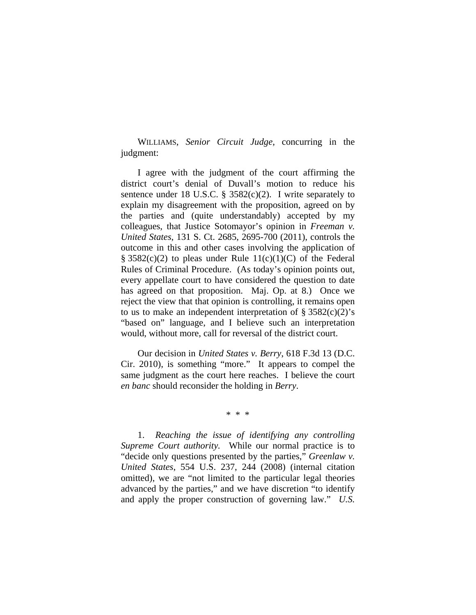WILLIAMS, *Senior Circuit Judge*, concurring in the judgment:

I agree with the judgment of the court affirming the district court's denial of Duvall's motion to reduce his sentence under 18 U.S.C. §  $3582(c)(2)$ . I write separately to explain my disagreement with the proposition, agreed on by the parties and (quite understandably) accepted by my colleagues, that Justice Sotomayor's opinion in *Freeman v. United States*, 131 S. Ct. 2685, 2695-700 (2011), controls the outcome in this and other cases involving the application of § 3582(c)(2) to pleas under Rule 11(c)(1)(C) of the Federal Rules of Criminal Procedure. (As today's opinion points out, every appellate court to have considered the question to date has agreed on that proposition. Maj. Op. at 8.) Once we reject the view that that opinion is controlling, it remains open to us to make an independent interpretation of  $\S 3582(c)(2)^{s}$ "based on" language, and I believe such an interpretation would, without more, call for reversal of the district court.

Our decision in *United States v. Berry*, 618 F.3d 13 (D.C. Cir. 2010), is something "more." It appears to compel the same judgment as the court here reaches. I believe the court *en banc* should reconsider the holding in *Berry*.

\* \* \*

 1. *Reaching the issue of identifying any controlling Supreme Court authority.* While our normal practice is to "decide only questions presented by the parties," *Greenlaw v. United States*, 554 U.S. 237, 244 (2008) (internal citation omitted), we are "not limited to the particular legal theories advanced by the parties," and we have discretion "to identify and apply the proper construction of governing law." *U.S.*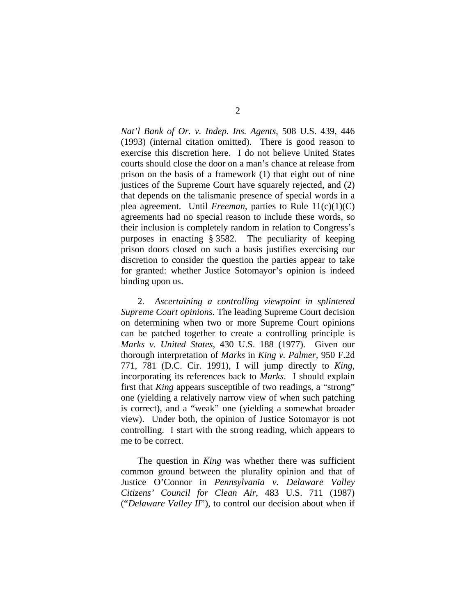*Nat'l Bank of Or. v. Indep. Ins. Agents*, 508 U.S. 439, 446 (1993) (internal citation omitted). There is good reason to exercise this discretion here. I do not believe United States courts should close the door on a man's chance at release from prison on the basis of a framework (1) that eight out of nine justices of the Supreme Court have squarely rejected, and (2) that depends on the talismanic presence of special words in a plea agreement. Until *Freeman*, parties to Rule 11(c)(1)(C) agreements had no special reason to include these words, so their inclusion is completely random in relation to Congress's purposes in enacting § 3582. The peculiarity of keeping prison doors closed on such a basis justifies exercising our discretion to consider the question the parties appear to take for granted: whether Justice Sotomayor's opinion is indeed binding upon us.

 2. *Ascertaining a controlling viewpoint in splintered Supreme Court opinions*. The leading Supreme Court decision on determining when two or more Supreme Court opinions can be patched together to create a controlling principle is *Marks v. United States*, 430 U.S. 188 (1977). Given our thorough interpretation of *Marks* in *King v. Palmer,* 950 F.2d 771, 781 (D.C. Cir. 1991), I will jump directly to *King*, incorporating its references back to *Marks*. I should explain first that *King* appears susceptible of two readings, a "strong" one (yielding a relatively narrow view of when such patching is correct), and a "weak" one (yielding a somewhat broader view). Under both, the opinion of Justice Sotomayor is not controlling. I start with the strong reading, which appears to me to be correct.

 The question in *King* was whether there was sufficient common ground between the plurality opinion and that of Justice O'Connor in *Pennsylvania v. Delaware Valley Citizens' Council for Clean Air*, 483 U.S. 711 (1987) ("*Delaware Valley II*"), to control our decision about when if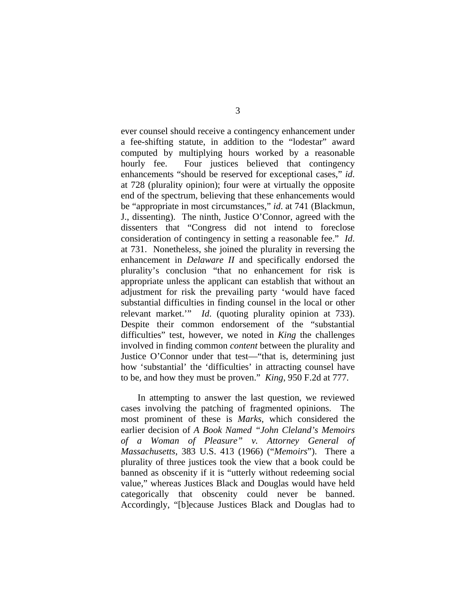ever counsel should receive a contingency enhancement under a fee-shifting statute, in addition to the "lodestar" award computed by multiplying hours worked by a reasonable hourly fee. Four justices believed that contingency enhancements "should be reserved for exceptional cases," *id*. at 728 (plurality opinion); four were at virtually the opposite end of the spectrum, believing that these enhancements would be "appropriate in most circumstances," *id*. at 741 (Blackmun, J., dissenting). The ninth, Justice O'Connor, agreed with the dissenters that "Congress did not intend to foreclose consideration of contingency in setting a reasonable fee." *Id*. at 731. Nonetheless, she joined the plurality in reversing the enhancement in *Delaware II* and specifically endorsed the plurality's conclusion "that no enhancement for risk is appropriate unless the applicant can establish that without an adjustment for risk the prevailing party 'would have faced substantial difficulties in finding counsel in the local or other relevant market.'" *Id*. (quoting plurality opinion at 733). Despite their common endorsement of the "substantial difficulties" test, however, we noted in *King* the challenges involved in finding common *content* between the plurality and Justice O'Connor under that test—"that is, determining just how 'substantial' the 'difficulties' in attracting counsel have to be, and how they must be proven." *King*, 950 F.2d at 777.

 In attempting to answer the last question, we reviewed cases involving the patching of fragmented opinions. The most prominent of these is *Marks*, which considered the earlier decision of *A Book Named "John Cleland's Memoirs of a Woman of Pleasure" v. Attorney General of Massachusetts*, 383 U.S. 413 (1966) ("*Memoirs*"). There a plurality of three justices took the view that a book could be banned as obscenity if it is "utterly without redeeming social value," whereas Justices Black and Douglas would have held categorically that obscenity could never be banned. Accordingly, "[b]ecause Justices Black and Douglas had to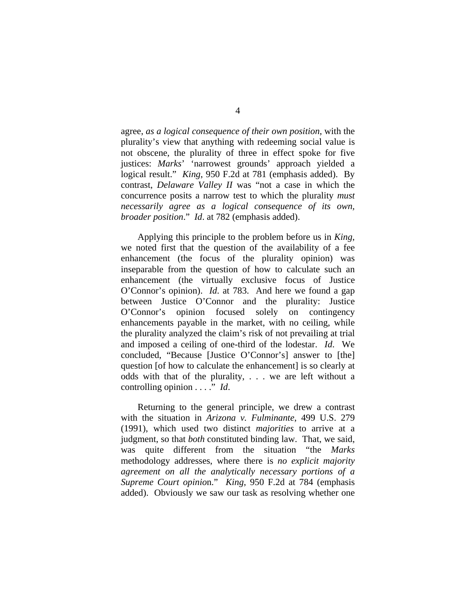agree, *as a logical consequence of their own position*, with the plurality's view that anything with redeeming social value is not obscene, the plurality of three in effect spoke for five justices: *Marks*' 'narrowest grounds' approach yielded a logical result." *King*, 950 F.2d at 781 (emphasis added). By contrast, *Delaware Valley II* was "not a case in which the concurrence posits a narrow test to which the plurality *must necessarily agree as a logical consequence of its own, broader position*." *Id*. at 782 (emphasis added).

 Applying this principle to the problem before us in *King*, we noted first that the question of the availability of a fee enhancement (the focus of the plurality opinion) was inseparable from the question of how to calculate such an enhancement (the virtually exclusive focus of Justice O'Connor's opinion). *Id*. at 783. And here we found a gap between Justice O'Connor and the plurality: Justice O'Connor's opinion focused solely on contingency enhancements payable in the market, with no ceiling, while the plurality analyzed the claim's risk of not prevailing at trial and imposed a ceiling of one-third of the lodestar. *Id*. We concluded, "Because [Justice O'Connor's] answer to [the] question [of how to calculate the enhancement] is so clearly at odds with that of the plurality, . . . we are left without a controlling opinion . . . ." *Id*.

 Returning to the general principle, we drew a contrast with the situation in *Arizona v. Fulminante*, 499 U.S. 279 (1991), which used two distinct *majorities* to arrive at a judgment, so that *both* constituted binding law. That, we said, was quite different from the situation "the *Marks* methodology addresses, where there is *no explicit majority agreement on all the analytically necessary portions of a Supreme Court opinio*n." *King*, 950 F.2d at 784 (emphasis added). Obviously we saw our task as resolving whether one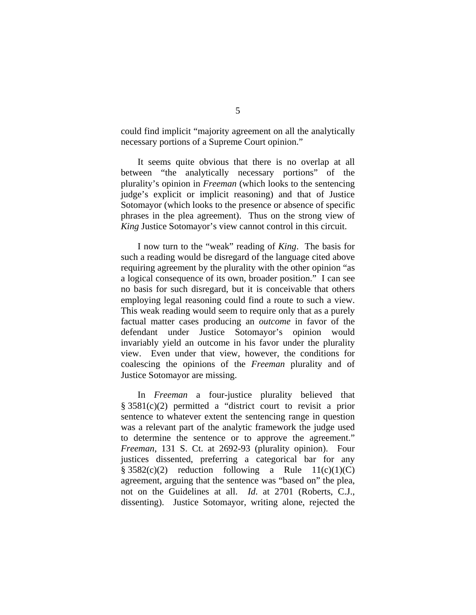could find implicit "majority agreement on all the analytically necessary portions of a Supreme Court opinion."

 It seems quite obvious that there is no overlap at all between "the analytically necessary portions" of the plurality's opinion in *Freeman* (which looks to the sentencing judge's explicit or implicit reasoning) and that of Justice Sotomayor (which looks to the presence or absence of specific phrases in the plea agreement). Thus on the strong view of *King* Justice Sotomayor's view cannot control in this circuit.

 I now turn to the "weak" reading of *King*. The basis for such a reading would be disregard of the language cited above requiring agreement by the plurality with the other opinion "as a logical consequence of its own, broader position." I can see no basis for such disregard, but it is conceivable that others employing legal reasoning could find a route to such a view. This weak reading would seem to require only that as a purely factual matter cases producing an *outcome* in favor of the defendant under Justice Sotomayor's opinion would invariably yield an outcome in his favor under the plurality view.Even under that view, however, the conditions for coalescing the opinions of the *Freeman* plurality and of Justice Sotomayor are missing.

In *Freeman* a four-justice plurality believed that § 3581(c)(2) permitted a "district court to revisit a prior sentence to whatever extent the sentencing range in question was a relevant part of the analytic framework the judge used to determine the sentence or to approve the agreement." *Freeman*, 131 S. Ct. at 2692-93 (plurality opinion). Four justices dissented, preferring a categorical bar for any  $§ 3582(c)(2)$  reduction following a Rule  $11(c)(1)(C)$ agreement, arguing that the sentence was "based on" the plea, not on the Guidelines at all. *Id*. at 2701 (Roberts, C.J., dissenting). Justice Sotomayor, writing alone, rejected the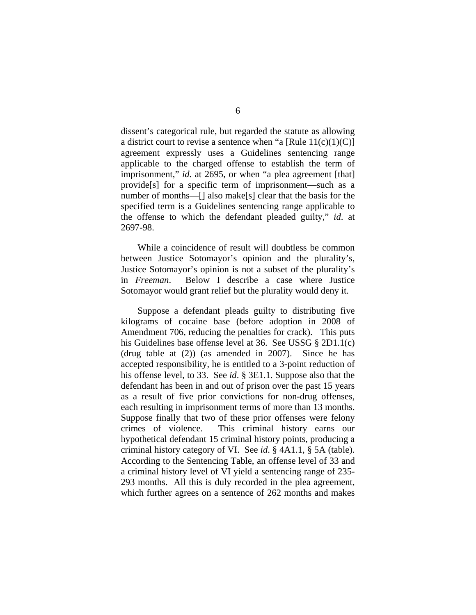dissent's categorical rule, but regarded the statute as allowing a district court to revise a sentence when "a [Rule  $11(c)(1)(C)$ ] agreement expressly uses a Guidelines sentencing range applicable to the charged offense to establish the term of imprisonment," *id.* at 2695, or when "a plea agreement [that] provide[s] for a specific term of imprisonment—such as a number of months—[] also make[s] clear that the basis for the specified term is a Guidelines sentencing range applicable to the offense to which the defendant pleaded guilty," *id*. at 2697-98.

 While a coincidence of result will doubtless be common between Justice Sotomayor's opinion and the plurality's, Justice Sotomayor's opinion is not a subset of the plurality's in *Freeman*. Below I describe a case where Justice Sotomayor would grant relief but the plurality would deny it.

Suppose a defendant pleads guilty to distributing five kilograms of cocaine base (before adoption in 2008 of Amendment 706, reducing the penalties for crack). This puts his Guidelines base offense level at 36. See USSG § 2D1.1(c) (drug table at (2)) (as amended in 2007). Since he has accepted responsibility, he is entitled to a 3-point reduction of his offense level, to 33. See *id*. § 3E1.1. Suppose also that the defendant has been in and out of prison over the past 15 years as a result of five prior convictions for non-drug offenses, each resulting in imprisonment terms of more than 13 months. Suppose finally that two of these prior offenses were felony crimes of violence. This criminal history earns our hypothetical defendant 15 criminal history points, producing a criminal history category of VI. See *id*. § 4A1.1, § 5A (table). According to the Sentencing Table, an offense level of 33 and a criminal history level of VI yield a sentencing range of 235- 293 months. All this is duly recorded in the plea agreement, which further agrees on a sentence of 262 months and makes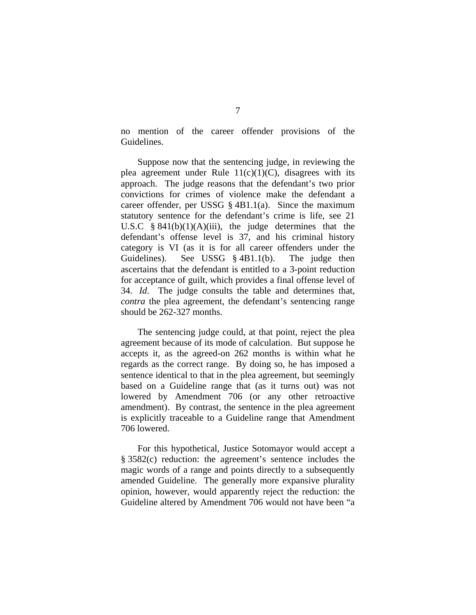no mention of the career offender provisions of the Guidelines.

Suppose now that the sentencing judge, in reviewing the plea agreement under Rule  $11(c)(1)(C)$ , disagrees with its approach. The judge reasons that the defendant's two prior convictions for crimes of violence make the defendant a career offender, per USSG  $\S$  4B1.1(a). Since the maximum statutory sentence for the defendant's crime is life, see 21 U.S.C  $§ 841(b)(1)(A)(iii)$ , the judge determines that the defendant's offense level is 37, and his criminal history category is VI (as it is for all career offenders under the Guidelines). See USSG § 4B1.1(b). The judge then ascertains that the defendant is entitled to a 3-point reduction for acceptance of guilt, which provides a final offense level of 34. *Id*. The judge consults the table and determines that, *contra* the plea agreement, the defendant's sentencing range should be 262-327 months.

The sentencing judge could, at that point, reject the plea agreement because of its mode of calculation. But suppose he accepts it, as the agreed-on 262 months is within what he regards as the correct range. By doing so, he has imposed a sentence identical to that in the plea agreement, but seemingly based on a Guideline range that (as it turns out) was not lowered by Amendment 706 (or any other retroactive amendment). By contrast, the sentence in the plea agreement is explicitly traceable to a Guideline range that Amendment 706 lowered.

For this hypothetical, Justice Sotomayor would accept a § 3582(c) reduction: the agreement's sentence includes the magic words of a range and points directly to a subsequently amended Guideline. The generally more expansive plurality opinion, however, would apparently reject the reduction: the Guideline altered by Amendment 706 would not have been "a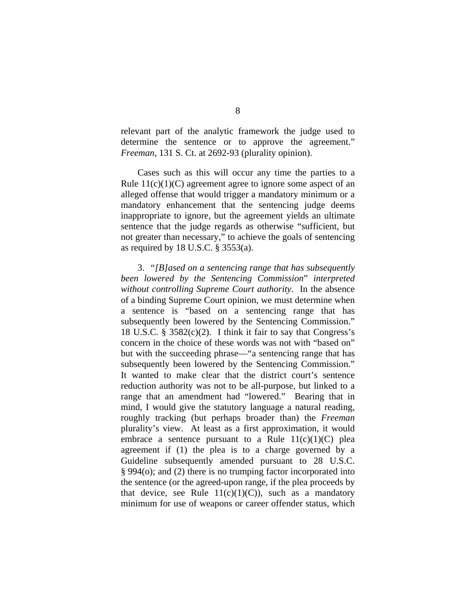relevant part of the analytic framework the judge used to determine the sentence or to approve the agreement." *Freeman*, 131 S. Ct. at 2692-93 (plurality opinion).

Cases such as this will occur any time the parties to a Rule  $11(c)(1)(C)$  agreement agree to ignore some aspect of an alleged offense that would trigger a mandatory minimum or a mandatory enhancement that the sentencing judge deems inappropriate to ignore, but the agreement yields an ultimate sentence that the judge regards as otherwise "sufficient, but not greater than necessary," to achieve the goals of sentencing as required by  $18$  U.S.C.  $\S$  3553(a).

3. *"[B]ased on a sentencing range that has subsequently been lowered by the Sentencing Commission*" *interpreted without controlling Supreme Court authority*. In the absence of a binding Supreme Court opinion, we must determine when a sentence is "based on a sentencing range that has subsequently been lowered by the Sentencing Commission." 18 U.S.C. §  $3582(c)(2)$ . I think it fair to say that Congress's concern in the choice of these words was not with "based on" but with the succeeding phrase—"a sentencing range that has subsequently been lowered by the Sentencing Commission." It wanted to make clear that the district court's sentence reduction authority was not to be all-purpose, but linked to a range that an amendment had "lowered." Bearing that in mind, I would give the statutory language a natural reading, roughly tracking (but perhaps broader than) the *Freeman*  plurality's view. At least as a first approximation, it would embrace a sentence pursuant to a Rule  $11(c)(1)(C)$  plea agreement if (1) the plea is to a charge governed by a Guideline subsequently amended pursuant to 28 U.S.C. § 994(o); and (2) there is no trumping factor incorporated into the sentence (or the agreed-upon range, if the plea proceeds by that device, see Rule  $11(c)(1)(C)$ , such as a mandatory minimum for use of weapons or career offender status, which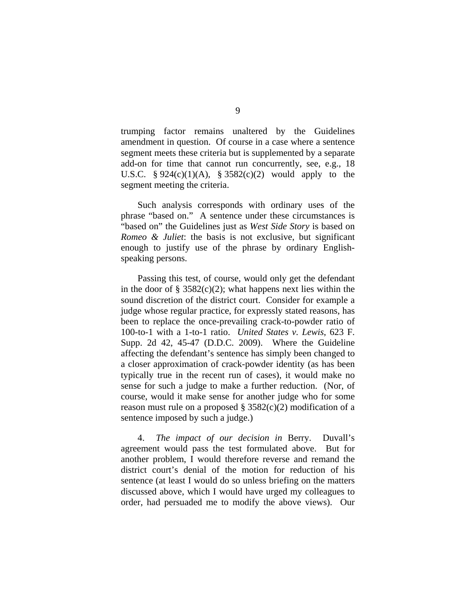trumping factor remains unaltered by the Guidelines amendment in question. Of course in a case where a sentence segment meets these criteria but is supplemented by a separate add-on for time that cannot run concurrently, see, e.g., 18 U.S.C.  $§ 924(c)(1)(A), § 3582(c)(2)$  would apply to the segment meeting the criteria.

Such analysis corresponds with ordinary uses of the phrase "based on." A sentence under these circumstances is "based on" the Guidelines just as *West Side Story* is based on *Romeo & Juliet*: the basis is not exclusive, but significant enough to justify use of the phrase by ordinary Englishspeaking persons.

Passing this test, of course, would only get the defendant in the door of  $\S$  3582(c)(2); what happens next lies within the sound discretion of the district court. Consider for example a judge whose regular practice, for expressly stated reasons, has been to replace the once-prevailing crack-to-powder ratio of 100-to-1 with a 1-to-1 ratio. *United States v. Lewis*, 623 F. Supp. 2d 42, 45-47 (D.D.C. 2009). Where the Guideline affecting the defendant's sentence has simply been changed to a closer approximation of crack-powder identity (as has been typically true in the recent run of cases), it would make no sense for such a judge to make a further reduction. (Nor, of course, would it make sense for another judge who for some reason must rule on a proposed  $\S$  3582(c)(2) modification of a sentence imposed by such a judge.)

4. *The impact of our decision in* Berry. Duvall's agreement would pass the test formulated above. But for another problem, I would therefore reverse and remand the district court's denial of the motion for reduction of his sentence (at least I would do so unless briefing on the matters discussed above, which I would have urged my colleagues to order, had persuaded me to modify the above views). Our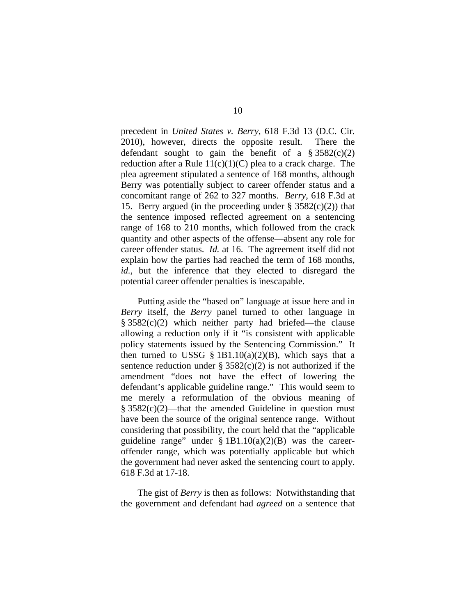precedent in *United States v. Berry*, 618 F.3d 13 (D.C. Cir. 2010), however, directs the opposite result. There the defendant sought to gain the benefit of a  $\S 3582(c)(2)$ reduction after a Rule  $11(c)(1)(C)$  plea to a crack charge. The plea agreement stipulated a sentence of 168 months, although Berry was potentially subject to career offender status and a concomitant range of 262 to 327 months. *Berry*, 618 F.3d at 15. Berry argued (in the proceeding under  $\S$  3582(c)(2)) that the sentence imposed reflected agreement on a sentencing range of 168 to 210 months, which followed from the crack quantity and other aspects of the offense—absent any role for career offender status. *Id.* at 16. The agreement itself did not explain how the parties had reached the term of 168 months, *id.*, but the inference that they elected to disregard the potential career offender penalties is inescapable.

Putting aside the "based on" language at issue here and in *Berry* itself, the *Berry* panel turned to other language in § 3582(c)(2) which neither party had briefed—the clause allowing a reduction only if it "is consistent with applicable policy statements issued by the Sentencing Commission." It then turned to USSG § 1B1.10(a)(2)(B), which says that a sentence reduction under  $\S 3582(c)(2)$  is not authorized if the amendment "does not have the effect of lowering the defendant's applicable guideline range." This would seem to me merely a reformulation of the obvious meaning of  $§ 3582(c)(2)$ —that the amended Guideline in question must have been the source of the original sentence range. Without considering that possibility, the court held that the "applicable guideline range" under  $\S 1B1.10(a)(2)(B)$  was the careeroffender range, which was potentially applicable but which the government had never asked the sentencing court to apply. 618 F.3d at 17-18.

The gist of *Berry* is then as follows: Notwithstanding that the government and defendant had *agreed* on a sentence that